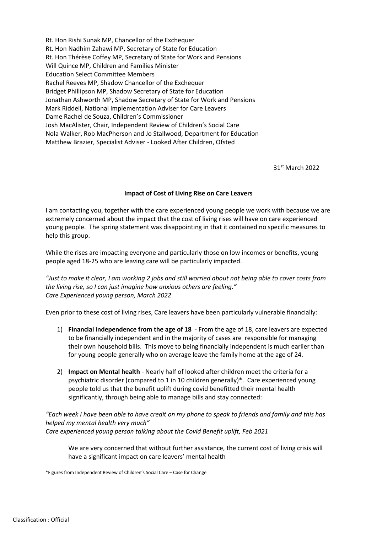Rt. Hon Rishi Sunak MP, Chancellor of the Exchequer Rt. Hon Nadhim Zahawi MP, Secretary of State for Education Rt. Hon Thérèse Coffey MP, Secretary of State for Work and Pensions Will Quince MP, Children and Families Minister Education Select Committee Members Rachel Reeves MP, Shadow Chancellor of the Exchequer Bridget Phillipson MP, Shadow Secretary of State for Education Jonathan Ashworth MP, Shadow Secretary of State for Work and Pensions Mark Riddell, National Implementation Adviser for Care Leavers Dame Rachel de Souza, Children's Commissioner Josh MacAlister, Chair, Independent Review of Children's Social Care Nola Walker, Rob MacPherson and Jo Stallwood, Department for Education Matthew Brazier, Specialist Adviser - Looked After Children, Ofsted

31st March 2022

## **Impact of Cost of Living Rise on Care Leavers**

I am contacting you, together with the care experienced young people we work with because we are extremely concerned about the impact that the cost of living rises will have on care experienced young people. The spring statement was disappointing in that it contained no specific measures to help this group.

While the rises are impacting everyone and particularly those on low incomes or benefits, young people aged 18-25 who are leaving care will be particularly impacted.

*"Just to make it clear, I am working 2 jobs and still worried about not being able to cover costs from the living rise, so I can just imagine how anxious others are feeling." Care Experienced young person, March 2022*

Even prior to these cost of living rises, Care leavers have been particularly vulnerable financially:

- 1) **Financial independence from the age of 18** From the age of 18, care leavers are expected to be financially independent and in the majority of cases are responsible for managing their own household bills. This move to being financially independent is much earlier than for young people generally who on average leave the family home at the age of 24.
- 2) **Impact on Mental health** Nearly half of looked after children meet the criteria for a psychiatric disorder (compared to 1 in 10 children generally)\*. Care experienced young people told us that the benefit uplift during covid benefitted their mental health significantly, through being able to manage bills and stay connected:

*"Each week I have been able to have credit on my phone to speak to friends and family and this has helped my mental health very much" Care experienced young person talking about the Covid Benefit uplift, Feb 2021*

We are very concerned that without further assistance, the current cost of living crisis will have a significant impact on care leavers' mental health

\*Figures from Independent Review of Children's Social Care – Case for Change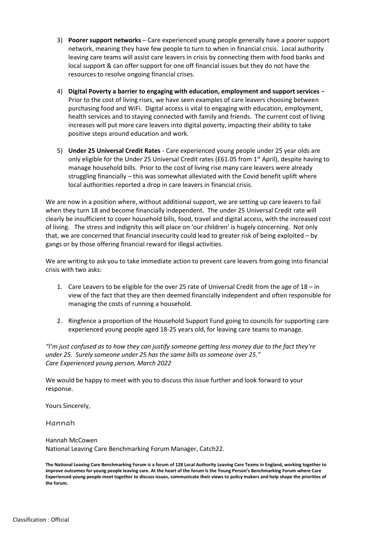- 3) **Poorer support networks** Care experienced young people generally have a poorer support network, meaning they have few people to turn to when in financial crisis. Local authority leaving care teams will assist care leavers in crisis by connecting them with food banks and local support & can offer support for one off financial issues but they do not have the resources to resolve ongoing financial crises.
- 4) **Digital Poverty a barrier to engaging with education, employment and support services** Prior to the cost of living rises, we have seen examples of care leavers choosing between purchasing food and WiFi. Digital access is vital to engaging with education, employment, health services and to staying connected with family and friends. The current cost of living increases will put more care leavers into digital poverty, impacting their ability to take positive steps around education and work.
- 5) **Under 25 Universal Credit Rates** Care experienced young people under 25 year olds are only eligible for the Under 25 Universal Credit rates (£61.05 from 1<sup>st</sup> April), despite having to manage household bills. Prior to the cost of living rise many care leavers were already struggling financially – this was somewhat alleviated with the Covid benefit uplift where local authorities reported a drop in care leavers in financial crisis.

We are now in a position where, without additional support, we are setting up care leavers to fail when they turn 18 and become financially independent. The under 25 Universal Credit rate will clearly be insufficient to cover household bills, food, travel and digital access, with the increased cost of living. The stress and indignity this will place on 'our children' is hugely concerning. Not only that, we are concerned that financial insecurity could lead to greater risk of being exploited – by gangs or by those offering financial reward for illegal activities.

We are writing to ask you to take immediate action to prevent care leavers from going into financial crisis with two asks:

- 1. Care Leavers to be eligible for the over 25 rate of Universal Credit from the age of 18 in view of the fact that they are then deemed financially independent and often responsible for managing the costs of running a household.
- 2. Ringfence a proportion of the Household Support Fund going to councils for supporting care experienced young people aged 18-25 years old, for leaving care teams to manage.

*"I'm just confused as to how they can justify someone getting less money due to the fact they're under 25. Surely someone under 25 has the same bills as someone over 25." Care Experienced young person, March 2022*

We would be happy to meet with you to discuss this issue further and look forward to your response.

Yours Sincerely,

Hannah

Hannah McCowen National Leaving Care Benchmarking Forum Manager, Catch22.

**The National Leaving Care Benchmarking Forum is a forum of 128 Local Authority Leaving Care Teams in England, working together to improve outcomes for young people leaving care. At the heart of the forum is the Young Person's Benchmarking Forum where Care Experienced young people meet together to discuss issues, communicate their views to policy makers and help shape the priorities of the forum.**